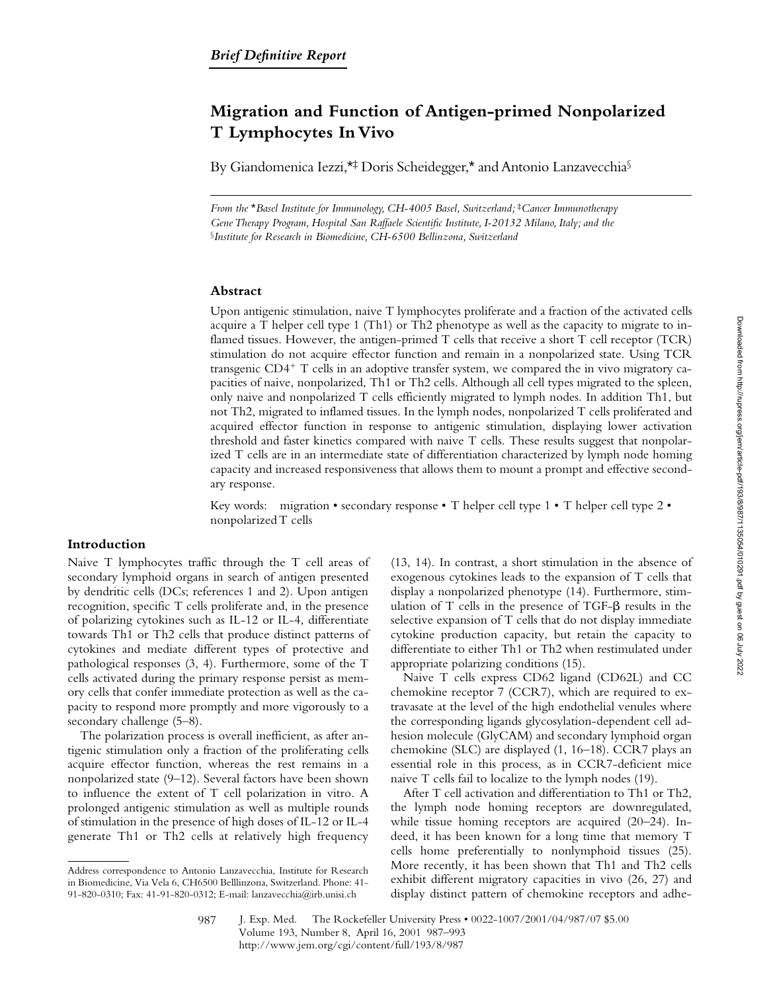# **Migration and Function of Antigen-primed Nonpolarized T Lymphocytes In Vivo**

By Giandomenica Iezzi,<sup>\*†</sup> Doris Scheidegger,<sup>\*</sup> and Antonio Lanzavecchia<sup>§</sup>

*From the* \**Basel Institute for Immunology, CH-4005 Basel, Switzerland;* ‡*Cancer Immunotherapy Gene Therapy Program, Hospital San Raffaele Scientific Institute, I-20132 Milano, Italy; and the*  §*Institute for Research in Biomedicine, CH-6500 Bellinzona, Switzerland*

## **Abstract**

Upon antigenic stimulation, naive T lymphocytes proliferate and a fraction of the activated cells acquire a T helper cell type 1 (Th1) or Th2 phenotype as well as the capacity to migrate to inflamed tissues. However, the antigen-primed T cells that receive a short T cell receptor (TCR) stimulation do not acquire effector function and remain in a nonpolarized state. Using TCR transgenic  $CD4^+$  T cells in an adoptive transfer system, we compared the in vivo migratory capacities of naive, nonpolarized, Th1 or Th2 cells. Although all cell types migrated to the spleen, only naive and nonpolarized T cells efficiently migrated to lymph nodes. In addition Th1, but not Th2, migrated to inflamed tissues. In the lymph nodes, nonpolarized T cells proliferated and acquired effector function in response to antigenic stimulation, displaying lower activation threshold and faster kinetics compared with naive T cells. These results suggest that nonpolarized T cells are in an intermediate state of differentiation characterized by lymph node homing capacity and increased responsiveness that allows them to mount a prompt and effective secondary response.

Key words: migration • secondary response • T helper cell type 1 • T helper cell type 2 • nonpolarized T cells

## **Introduction**

Naive T lymphocytes traffic through the T cell areas of secondary lymphoid organs in search of antigen presented by dendritic cells (DCs; references 1 and 2). Upon antigen recognition, specific T cells proliferate and, in the presence of polarizing cytokines such as IL-12 or IL-4, differentiate towards Th1 or Th2 cells that produce distinct patterns of cytokines and mediate different types of protective and pathological responses (3, 4). Furthermore, some of the T cells activated during the primary response persist as memory cells that confer immediate protection as well as the capacity to respond more promptly and more vigorously to a secondary challenge (5–8).

The polarization process is overall inefficient, as after antigenic stimulation only a fraction of the proliferating cells acquire effector function, whereas the rest remains in a nonpolarized state (9–12). Several factors have been shown to influence the extent of T cell polarization in vitro. A prolonged antigenic stimulation as well as multiple rounds of stimulation in the presence of high doses of IL-12 or IL-4 generate Th1 or Th2 cells at relatively high frequency

(13, 14). In contrast, a short stimulation in the absence of exogenous cytokines leads to the expansion of T cells that display a nonpolarized phenotype (14). Furthermore, stimulation of  $T$  cells in the presence of  $TGF-\beta$  results in the selective expansion of T cells that do not display immediate cytokine production capacity, but retain the capacity to differentiate to either Th1 or Th2 when restimulated under appropriate polarizing conditions (15).

Naive T cells express CD62 ligand (CD62L) and CC chemokine receptor 7 (CCR7), which are required to extravasate at the level of the high endothelial venules where the corresponding ligands glycosylation-dependent cell adhesion molecule (GlyCAM) and secondary lymphoid organ chemokine (SLC) are displayed (1, 16–18). CCR7 plays an essential role in this process, as in CCR7-deficient mice naive T cells fail to localize to the lymph nodes (19).

After T cell activation and differentiation to Th1 or Th2, the lymph node homing receptors are downregulated, while tissue homing receptors are acquired (20–24). Indeed, it has been known for a long time that memory T cells home preferentially to nonlymphoid tissues (25). More recently, it has been shown that Th1 and Th2 cells exhibit different migratory capacities in vivo (26, 27) and display distinct pattern of chemokine receptors and adhe-

Address correspondence to Antonio Lanzavecchia, Institute for Research in Biomedicine, Via Vela 6, CH6500 Belllinzona, Switzerland. Phone: 41- 91-820-0310; Fax: 41-91-820-0312; E-mail: lanzavecchia@irb.unisi.ch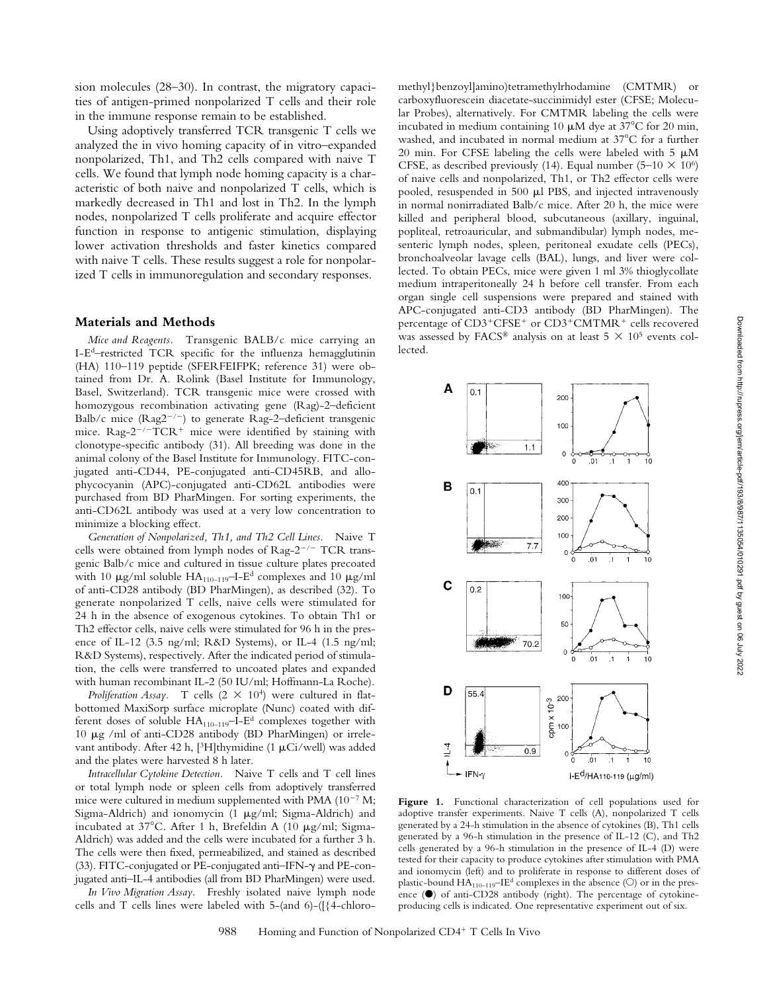sion molecules (28–30). In contrast, the migratory capacities of antigen-primed nonpolarized T cells and their role in the immune response remain to be established.

Using adoptively transferred TCR transgenic T cells we analyzed the in vivo homing capacity of in vitro–expanded nonpolarized, Th1, and Th2 cells compared with naive T cells. We found that lymph node homing capacity is a characteristic of both naive and nonpolarized T cells, which is markedly decreased in Th1 and lost in Th2. In the lymph nodes, nonpolarized T cells proliferate and acquire effector function in response to antigenic stimulation, displaying lower activation thresholds and faster kinetics compared with naive T cells. These results suggest a role for nonpolarized T cells in immunoregulation and secondary responses.

#### **Materials and Methods**

*Mice and Reagents.* Transgenic BALB/c mice carrying an I-Ed–restricted TCR specific for the influenza hemagglutinin (HA) 110–119 peptide (SFERFEIFPK; reference 31) were obtained from Dr. A. Rolink (Basel Institute for Immunology, Basel, Switzerland). TCR transgenic mice were crossed with homozygous recombination activating gene (Rag)-2–deficient Balb/c mice  $(Rag2^{-/-})$  to generate Rag-2-deficient transgenic mice.  $\text{Rag-2}^{-/-}\text{TCR}^+$  mice were identified by staining with clonotype-specific antibody (31). All breeding was done in the animal colony of the Basel Institute for Immunology. FITC-conjugated anti-CD44, PE-conjugated anti-CD45RB, and allophycocyanin (APC)-conjugated anti-CD62L antibodies were purchased from BD PharMingen. For sorting experiments, the anti-CD62L antibody was used at a very low concentration to minimize a blocking effect.

*Generation of Nonpolarized, Th1, and Th2 Cell Lines.* Naive T cells were obtained from lymph nodes of  $\text{Rag-2}^{-/-}$  TCR transgenic Balb/c mice and cultured in tissue culture plates precoated with 10  $\mu$ g/ml soluble HA<sub>110–119</sub>–I-E<sup>d</sup> complexes and 10  $\mu$ g/ml of anti-CD28 antibody (BD PharMingen), as described (32). To generate nonpolarized T cells, naive cells were stimulated for 24 h in the absence of exogenous cytokines. To obtain Th1 or Th2 effector cells, naive cells were stimulated for 96 h in the presence of IL-12 (3.5 ng/ml; R&D Systems), or IL-4 (1.5 ng/ml; R&D Systems), respectively. After the indicated period of stimulation, the cells were transferred to uncoated plates and expanded with human recombinant IL-2 (50 IU/ml; Hoffmann-La Roche).

*Proliferation Assay.* T cells  $(2 \times 10^4)$  were cultured in flatbottomed MaxiSorp surface microplate (Nunc) coated with different doses of soluble  $HA_{110-119}$ -I-E<sup>d</sup> complexes together with 10  $\mu$ g /ml of anti-CD28 antibody (BD PharMingen) or irrelevant antibody. After 42 h, [<sup>3</sup>H]thymidine (1  $\mu$ Ci/well) was added and the plates were harvested 8 h later.

*Intracellular Cytokine Detection.* Naive T cells and T cell lines or total lymph node or spleen cells from adoptively transferred mice were cultured in medium supplemented with PMA  $(10^{-7}$  M; Sigma-Aldrich) and ionomycin (1  $\mu$ g/ml; Sigma-Aldrich) and incubated at  $37^{\circ}$ C. After 1 h, Brefeldin A (10  $\mu$ g/ml; Sigma-Aldrich) was added and the cells were incubated for a further 3 h. The cells were then fixed, permeabilized, and stained as described (33). FITC-conjugated or PE-conjugated anti–IFN-g and PE-conjugated anti–IL-4 antibodies (all from BD PharMingen) were used.

*In Vivo Migration Assay.* Freshly isolated naive lymph node cells and T cells lines were labeled with 5-(and 6)-([{4-chloromethyl}benzoyl]amino)tetramethylrhodamine (CMTMR) or carboxyfluorescein diacetate-succinimidyl ester (CFSE; Molecular Probes), alternatively. For CMTMR labeling the cells were incubated in medium containing 10  $\mu$ M dye at 37°C for 20 min, washed, and incubated in normal medium at  $37^{\circ}$ C for a further 20 min. For CFSE labeling the cells were labeled with 5  $\mu$ M CFSE, as described previously (14). Equal number (5–10  $\times$  10<sup>6</sup>) of naive cells and nonpolarized, Th1, or Th2 effector cells were pooled, resuspended in 500  $\mu$ l PBS, and injected intravenously in normal nonirradiated Balb/c mice. After 20 h, the mice were killed and peripheral blood, subcutaneous (axillary, inguinal, popliteal, retroauricular, and submandibular) lymph nodes, mesenteric lymph nodes, spleen, peritoneal exudate cells (PECs), bronchoalveolar lavage cells (BAL), lungs, and liver were collected. To obtain PECs, mice were given 1 ml 3% thioglycollate medium intraperitoneally 24 h before cell transfer. From each organ single cell suspensions were prepared and stained with APC-conjugated anti-CD3 antibody (BD PharMingen). The percentage of CD3<sup>+</sup>CFSE<sup>+</sup> or CD3<sup>+</sup>CMTMR<sup>+</sup> cells recovered was assessed by FACS® analysis on at least  $5 \times 10^5$  events collected.



Figure 1. Functional characterization of cell populations used for adoptive transfer experiments. Naive T cells (A), nonpolarized T cells generated by a 24-h stimulation in the absence of cytokines (B), Th1 cells generated by a 96-h stimulation in the presence of IL-12 (C), and Th2 cells generated by a 96-h stimulation in the presence of IL-4 (D) were tested for their capacity to produce cytokines after stimulation with PMA and ionomycin (left) and to proliferate in response to different doses of plastic-bound  $HA_{110-119}$ –IE<sup>d</sup> complexes in the absence ( $\circ$ ) or in the presence  $(\bullet)$  of anti-CD28 antibody (right). The percentage of cytokineproducing cells is indicated. One representative experiment out of six.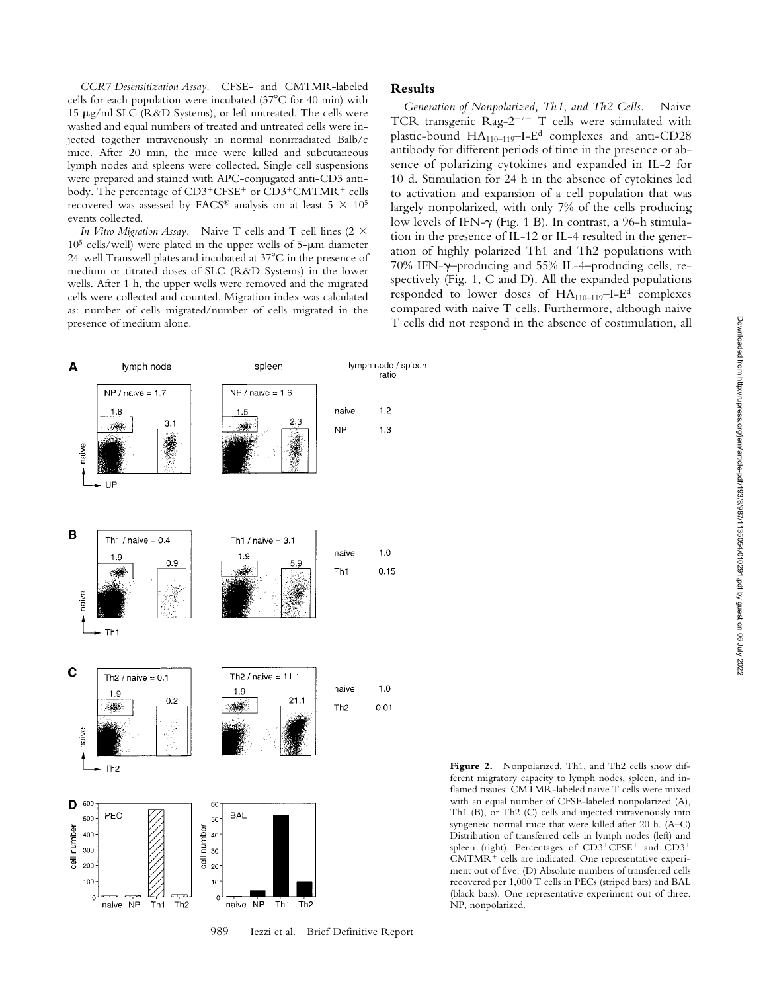*CCR7 Desensitization Assay.* CFSE- and CMTMR-labeled cells for each population were incubated  $(37^{\circ}$ C for 40 min) with 15  $\mu$ g/ml SLC (R&D Systems), or left untreated. The cells were washed and equal numbers of treated and untreated cells were injected together intravenously in normal nonirradiated Balb/c mice. After 20 min, the mice were killed and subcutaneous lymph nodes and spleens were collected. Single cell suspensions were prepared and stained with APC-conjugated anti-CD3 antibody. The percentage of CD3<sup>+</sup>CFSE<sup>+</sup> or CD3<sup>+</sup>CMTMR<sup>+</sup> cells recovered was assessed by FACS® analysis on at least 5  $\times$  10<sup>5</sup> events collected.

*In Vitro Migration Assay.* Naive T cells and T cell lines (2  $\times$  $10<sup>5</sup>$  cells/well) were plated in the upper wells of 5- $\mu$ m diameter 24-well Transwell plates and incubated at  $37^{\circ}$ C in the presence of medium or titrated doses of SLC (R&D Systems) in the lower wells. After 1 h, the upper wells were removed and the migrated cells were collected and counted. Migration index was calculated as: number of cells migrated/number of cells migrated in the presence of medium alone.

## **Results**

*Generation of Nonpolarized, Th1, and Th2 Cells.* Naive TCR transgenic Rag- $2^{-/-}$  T cells were stimulated with plastic-bound HA110–119–I-Ed complexes and anti-CD28 antibody for different periods of time in the presence or absence of polarizing cytokines and expanded in IL-2 for 10 d. Stimulation for 24 h in the absence of cytokines led to activation and expansion of a cell population that was largely nonpolarized, with only 7% of the cells producing low levels of IFN-g (Fig. 1 B). In contrast, a 96-h stimulation in the presence of IL-12 or IL-4 resulted in the generation of highly polarized Th1 and Th2 populations with 70% IFN-g–producing and 55% IL-4–producing cells, respectively (Fig. 1, C and D). All the expanded populations responded to lower doses of  $HA_{110-119}$ -I-E<sup>d</sup> complexes compared with naive T cells. Furthermore, although naive T cells did not respond in the absence of costimulation, all



**Figure 2.** Nonpolarized, Th1, and Th2 cells show different migratory capacity to lymph nodes, spleen, and inflamed tissues. CMTMR-labeled naive T cells were mixed with an equal number of CFSE-labeled nonpolarized (A), Th1 (B), or Th2 (C) cells and injected intravenously into syngeneic normal mice that were killed after 20 h. (A–C) Distribution of transferred cells in lymph nodes (left) and spleen (right). Percentages of CD3+CFSE+ and CD3+ CMTMR<sup>+</sup> cells are indicated. One representative experiment out of five. (D) Absolute numbers of transferred cells recovered per 1,000 T cells in PECs (striped bars) and BAL (black bars). One representative experiment out of three. NP, nonpolarized.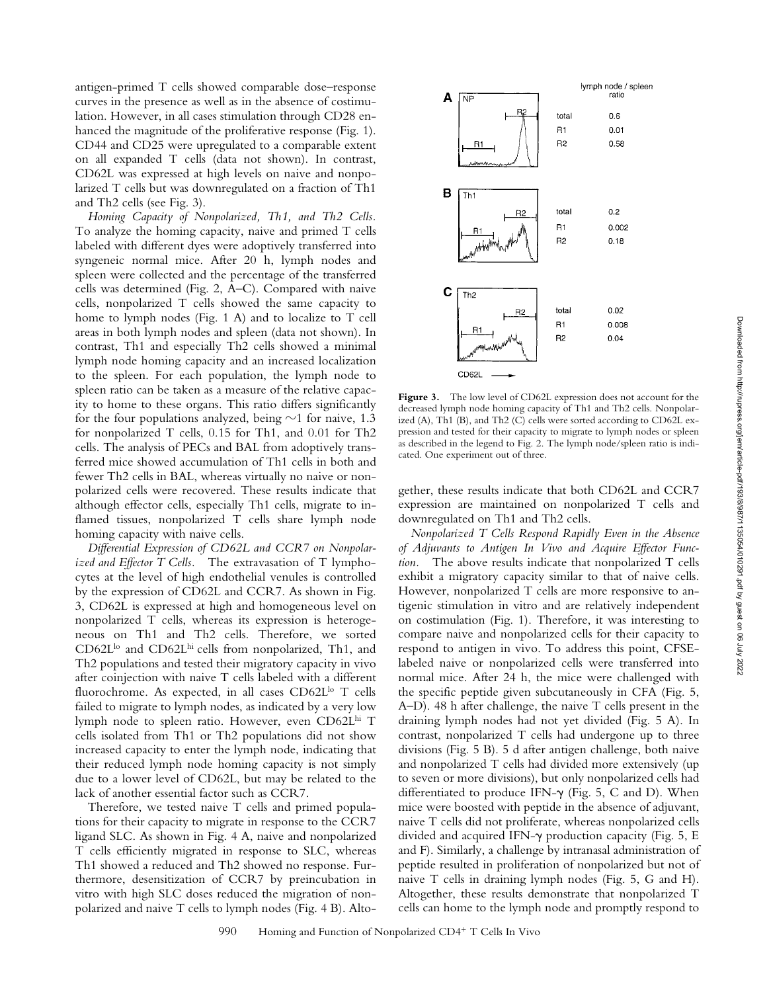antigen-primed T cells showed comparable dose–response curves in the presence as well as in the absence of costimulation. However, in all cases stimulation through CD28 enhanced the magnitude of the proliferative response (Fig. 1). CD44 and CD25 were upregulated to a comparable extent on all expanded T cells (data not shown). In contrast, CD62L was expressed at high levels on naive and nonpolarized T cells but was downregulated on a fraction of Th1 and Th2 cells (see Fig. 3).

*Homing Capacity of Nonpolarized, Th1, and Th2 Cells.* To analyze the homing capacity, naive and primed T cells labeled with different dyes were adoptively transferred into syngeneic normal mice. After 20 h, lymph nodes and spleen were collected and the percentage of the transferred cells was determined (Fig. 2, A–C). Compared with naive cells, nonpolarized T cells showed the same capacity to home to lymph nodes (Fig. 1 A) and to localize to T cell areas in both lymph nodes and spleen (data not shown). In contrast, Th1 and especially Th2 cells showed a minimal lymph node homing capacity and an increased localization to the spleen. For each population, the lymph node to spleen ratio can be taken as a measure of the relative capacity to home to these organs. This ratio differs significantly for the four populations analyzed, being  $\sim$ 1 for naive, 1.3 for nonpolarized T cells, 0.15 for Th1, and 0.01 for Th2 cells. The analysis of PECs and BAL from adoptively transferred mice showed accumulation of Th1 cells in both and fewer Th2 cells in BAL, whereas virtually no naive or nonpolarized cells were recovered. These results indicate that although effector cells, especially Th1 cells, migrate to inflamed tissues, nonpolarized T cells share lymph node homing capacity with naive cells.

*Differential Expression of CD62L and CCR7 on Nonpolarized and Effector T Cells.* The extravasation of T lymphocytes at the level of high endothelial venules is controlled by the expression of CD62L and CCR7. As shown in Fig. 3, CD62L is expressed at high and homogeneous level on nonpolarized T cells, whereas its expression is heterogeneous on Th1 and Th2 cells. Therefore, we sorted CD62L<sup>lo</sup> and CD62L<sup>hi</sup> cells from nonpolarized, Th1, and Th2 populations and tested their migratory capacity in vivo after coinjection with naive T cells labeled with a different fluorochrome. As expected, in all cases CD62L<sup>lo</sup> T cells failed to migrate to lymph nodes, as indicated by a very low lymph node to spleen ratio. However, even CD62Lhi T cells isolated from Th1 or Th2 populations did not show increased capacity to enter the lymph node, indicating that their reduced lymph node homing capacity is not simply due to a lower level of CD62L, but may be related to the lack of another essential factor such as CCR7.

Therefore, we tested naive T cells and primed populations for their capacity to migrate in response to the CCR7 ligand SLC. As shown in Fig. 4 A, naive and nonpolarized T cells efficiently migrated in response to SLC, whereas Th1 showed a reduced and Th2 showed no response. Furthermore, desensitization of CCR7 by preincubation in vitro with high SLC doses reduced the migration of nonpolarized and naive T cells to lymph nodes (Fig. 4 B). Alto-



**Figure 3.** The low level of CD62L expression does not account for the decreased lymph node homing capacity of Th1 and Th2 cells. Nonpolarized (A), Th1 (B), and Th2 (C) cells were sorted according to CD62L expression and tested for their capacity to migrate to lymph nodes or spleen as described in the legend to Fig. 2. The lymph node/spleen ratio is indicated. One experiment out of three.

gether, these results indicate that both CD62L and CCR7 expression are maintained on nonpolarized T cells and downregulated on Th1 and Th2 cells.

*Nonpolarized T Cells Respond Rapidly Even in the Absence of Adjuvants to Antigen In Vivo and Acquire Effector Function.* The above results indicate that nonpolarized T cells exhibit a migratory capacity similar to that of naive cells. However, nonpolarized T cells are more responsive to antigenic stimulation in vitro and are relatively independent on costimulation (Fig. 1). Therefore, it was interesting to compare naive and nonpolarized cells for their capacity to respond to antigen in vivo. To address this point, CFSElabeled naive or nonpolarized cells were transferred into normal mice. After 24 h, the mice were challenged with the specific peptide given subcutaneously in CFA (Fig. 5, A–D). 48 h after challenge, the naive T cells present in the draining lymph nodes had not yet divided (Fig. 5 A). In contrast, nonpolarized T cells had undergone up to three divisions (Fig. 5 B). 5 d after antigen challenge, both naive and nonpolarized T cells had divided more extensively (up to seven or more divisions), but only nonpolarized cells had differentiated to produce IFN- $\gamma$  (Fig. 5, C and D). When mice were boosted with peptide in the absence of adjuvant, naive T cells did not proliferate, whereas nonpolarized cells divided and acquired IFN- $\gamma$  production capacity (Fig. 5, E and F). Similarly, a challenge by intranasal administration of peptide resulted in proliferation of nonpolarized but not of naive T cells in draining lymph nodes (Fig. 5, G and H). Altogether, these results demonstrate that nonpolarized T cells can home to the lymph node and promptly respond to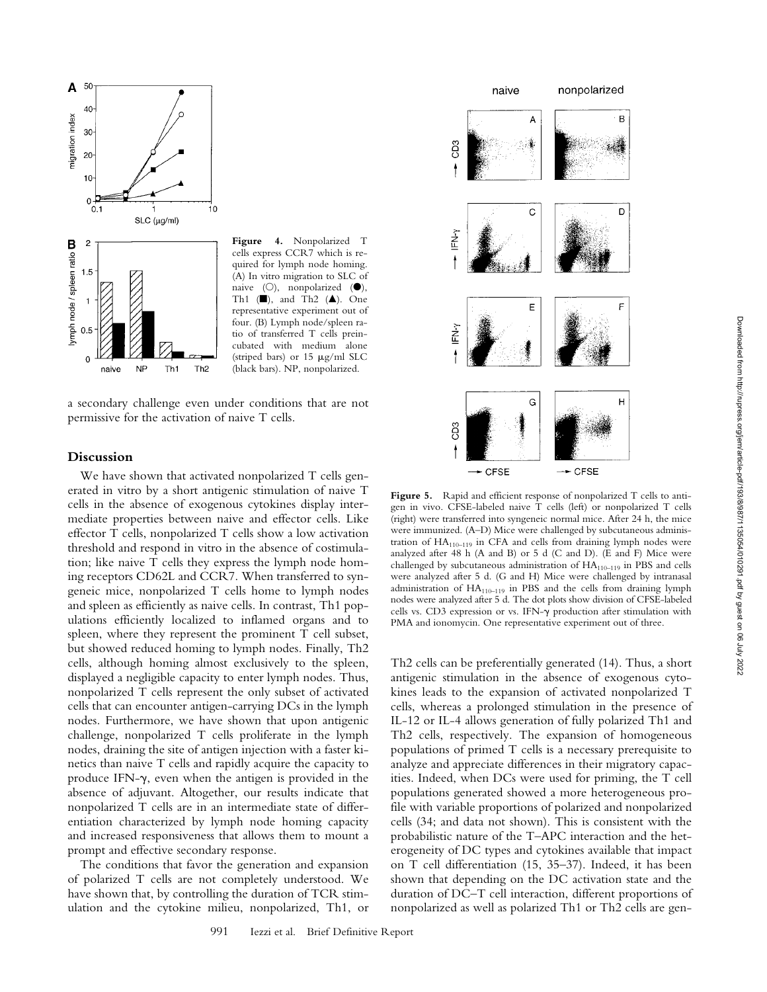

cells express CCR7 which is required for lymph node homing. (A) In vitro migration to SLC of naive  $(O)$ , nonpolarized  $(①)$ , Th1 ( $\blacksquare$ ), and Th2 ( $\blacktriangle$ ). One representative experiment out of four. (B) Lymph node/spleen ratio of transferred T cells preincubated with medium alone (striped bars) or 15 mg/ml SLC (black bars). NP, nonpolarized.



## **Discussion**

We have shown that activated nonpolarized T cells generated in vitro by a short antigenic stimulation of naive T cells in the absence of exogenous cytokines display intermediate properties between naive and effector cells. Like effector T cells, nonpolarized T cells show a low activation threshold and respond in vitro in the absence of costimulation; like naive T cells they express the lymph node homing receptors CD62L and CCR7. When transferred to syngeneic mice, nonpolarized T cells home to lymph nodes and spleen as efficiently as naive cells. In contrast, Th1 populations efficiently localized to inflamed organs and to spleen, where they represent the prominent T cell subset, but showed reduced homing to lymph nodes. Finally, Th2 cells, although homing almost exclusively to the spleen, displayed a negligible capacity to enter lymph nodes. Thus, nonpolarized T cells represent the only subset of activated cells that can encounter antigen-carrying DCs in the lymph nodes. Furthermore, we have shown that upon antigenic challenge, nonpolarized T cells proliferate in the lymph nodes, draining the site of antigen injection with a faster kinetics than naive T cells and rapidly acquire the capacity to produce IFN- $\gamma$ , even when the antigen is provided in the absence of adjuvant. Altogether, our results indicate that nonpolarized T cells are in an intermediate state of differentiation characterized by lymph node homing capacity and increased responsiveness that allows them to mount a prompt and effective secondary response.

The conditions that favor the generation and expansion of polarized T cells are not completely understood. We have shown that, by controlling the duration of TCR stimulation and the cytokine milieu, nonpolarized, Th1, or



Figure 5. Rapid and efficient response of nonpolarized T cells to antigen in vivo. CFSE-labeled naive T cells (left) or nonpolarized T cells (right) were transferred into syngeneic normal mice. After 24 h, the mice were immunized. (A–D) Mice were challenged by subcutaneous administration of HA<sub>110-119</sub> in CFA and cells from draining lymph nodes were analyzed after 48 h (A and B) or 5 d (C and D). (E and F) Mice were challenged by subcutaneous administration of  $HA_{110-119}$  in PBS and cells were analyzed after 5 d. (G and H) Mice were challenged by intranasal administration of  $HA_{110-119}$  in PBS and the cells from draining lymph nodes were analyzed after 5 d. The dot plots show division of CFSE-labeled cells vs. CD3 expression or vs. IFN-g production after stimulation with PMA and ionomycin. One representative experiment out of three.

Th2 cells can be preferentially generated (14). Thus, a short antigenic stimulation in the absence of exogenous cytokines leads to the expansion of activated nonpolarized T cells, whereas a prolonged stimulation in the presence of IL-12 or IL-4 allows generation of fully polarized Th1 and Th2 cells, respectively. The expansion of homogeneous populations of primed T cells is a necessary prerequisite to analyze and appreciate differences in their migratory capacities. Indeed, when DCs were used for priming, the T cell populations generated showed a more heterogeneous profile with variable proportions of polarized and nonpolarized cells (34; and data not shown). This is consistent with the probabilistic nature of the T–APC interaction and the heterogeneity of DC types and cytokines available that impact on T cell differentiation (15, 35–37). Indeed, it has been shown that depending on the DC activation state and the duration of DC–T cell interaction, different proportions of nonpolarized as well as polarized Th1 or Th2 cells are gen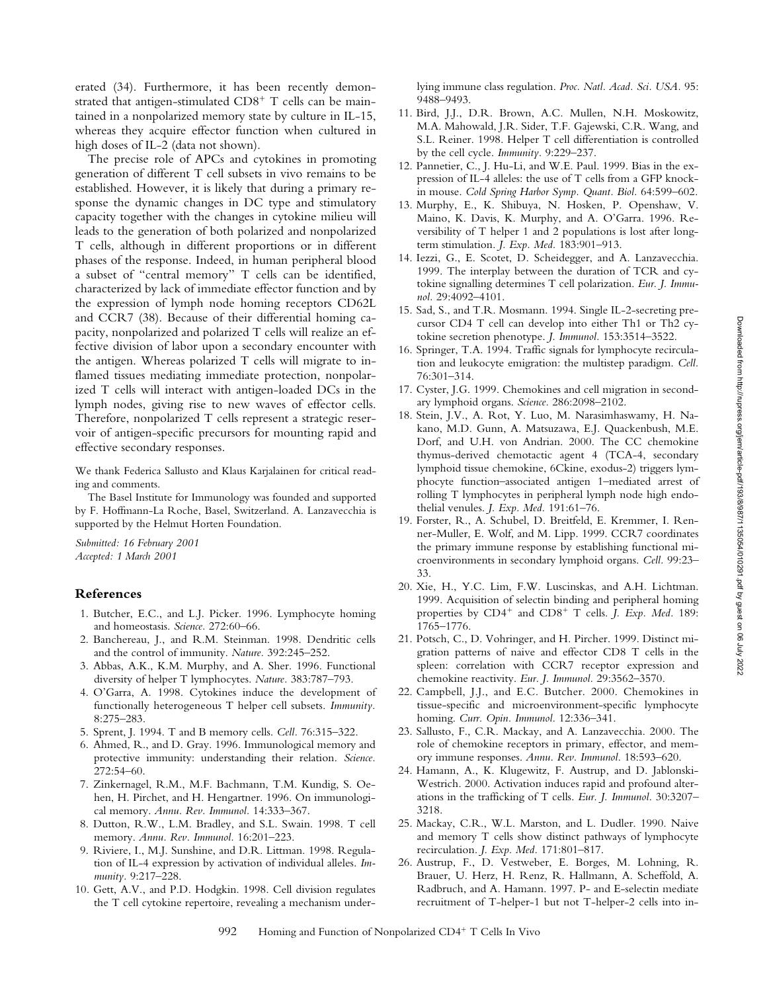erated (34). Furthermore, it has been recently demonstrated that antigen-stimulated  $CD8^+$  T cells can be maintained in a nonpolarized memory state by culture in IL-15, whereas they acquire effector function when cultured in high doses of IL-2 (data not shown).

The precise role of APCs and cytokines in promoting generation of different T cell subsets in vivo remains to be established. However, it is likely that during a primary response the dynamic changes in DC type and stimulatory capacity together with the changes in cytokine milieu will leads to the generation of both polarized and nonpolarized T cells, although in different proportions or in different phases of the response. Indeed, in human peripheral blood a subset of "central memory" T cells can be identified, characterized by lack of immediate effector function and by the expression of lymph node homing receptors CD62L and CCR7 (38). Because of their differential homing capacity, nonpolarized and polarized T cells will realize an effective division of labor upon a secondary encounter with the antigen. Whereas polarized T cells will migrate to inflamed tissues mediating immediate protection, nonpolarized T cells will interact with antigen-loaded DCs in the lymph nodes, giving rise to new waves of effector cells. Therefore, nonpolarized T cells represent a strategic reservoir of antigen-specific precursors for mounting rapid and effective secondary responses.

We thank Federica Sallusto and Klaus Karjalainen for critical reading and comments.

The Basel Institute for Immunology was founded and supported by F. Hoffmann-La Roche, Basel, Switzerland. A. Lanzavecchia is supported by the Helmut Horten Foundation.

*Submitted: 16 February 2001 Accepted: 1 March 2001*

#### **References**

- 1. Butcher, E.C., and L.J. Picker. 1996. Lymphocyte homing and homeostasis. *Science.* 272:60–66.
- 2. Banchereau, J., and R.M. Steinman. 1998. Dendritic cells and the control of immunity. *Nature.* 392:245–252.
- 3. Abbas, A.K., K.M. Murphy, and A. Sher. 1996. Functional diversity of helper T lymphocytes. *Nature.* 383:787–793.
- 4. O'Garra, A. 1998. Cytokines induce the development of functionally heterogeneous T helper cell subsets. *Immunity.* 8:275–283.
- 5. Sprent, J. 1994. T and B memory cells. *Cell.* 76:315–322.
- 6. Ahmed, R., and D. Gray. 1996. Immunological memory and protective immunity: understanding their relation. *Science.* 272:54–60.
- 7. Zinkernagel, R.M., M.F. Bachmann, T.M. Kundig, S. Oehen, H. Pirchet, and H. Hengartner. 1996. On immunological memory. *Annu. Rev. Immunol.* 14:333–367.
- 8. Dutton, R.W., L.M. Bradley, and S.L. Swain. 1998. T cell memory. *Annu. Rev. Immunol.* 16:201–223.
- 9. Riviere, I., M.J. Sunshine, and D.R. Littman. 1998. Regulation of IL-4 expression by activation of individual alleles. *Immunity.* 9:217–228.
- 10. Gett, A.V., and P.D. Hodgkin. 1998. Cell division regulates the T cell cytokine repertoire, revealing a mechanism under-

lying immune class regulation. *Proc. Natl. Acad. Sci. USA.* 95: 9488–9493.

- 11. Bird, J.J., D.R. Brown, A.C. Mullen, N.H. Moskowitz, M.A. Mahowald, J.R. Sider, T.F. Gajewski, C.R. Wang, and S.L. Reiner. 1998. Helper T cell differentiation is controlled by the cell cycle. *Immunity.* 9:229–237.
- 12. Pannetier, C., J. Hu-Li, and W.E. Paul. 1999. Bias in the expression of IL-4 alleles: the use of T cells from a GFP knockin mouse. *Cold Spring Harbor Symp. Quant. Biol.* 64:599–602.
- 13. Murphy, E., K. Shibuya, N. Hosken, P. Openshaw, V. Maino, K. Davis, K. Murphy, and A. O'Garra. 1996. Reversibility of T helper 1 and 2 populations is lost after longterm stimulation. *J. Exp. Med.* 183:901–913.
- 14. Iezzi, G., E. Scotet, D. Scheidegger, and A. Lanzavecchia. 1999. The interplay between the duration of TCR and cytokine signalling determines T cell polarization. *Eur. J. Immunol.* 29:4092–4101.
- 15. Sad, S., and T.R. Mosmann. 1994. Single IL-2-secreting precursor CD4 T cell can develop into either Th1 or Th2 cytokine secretion phenotype. *J. Immunol.* 153:3514–3522.
- 16. Springer, T.A. 1994. Traffic signals for lymphocyte recirculation and leukocyte emigration: the multistep paradigm. *Cell.* 76:301–314.
- 17. Cyster, J.G. 1999. Chemokines and cell migration in secondary lymphoid organs. *Science.* 286:2098–2102.
- 18. Stein, J.V., A. Rot, Y. Luo, M. Narasimhaswamy, H. Nakano, M.D. Gunn, A. Matsuzawa, E.J. Quackenbush, M.E. Dorf, and U.H. von Andrian. 2000. The CC chemokine thymus-derived chemotactic agent 4 (TCA-4, secondary lymphoid tissue chemokine, 6Ckine, exodus-2) triggers lymphocyte function–associated antigen 1–mediated arrest of rolling T lymphocytes in peripheral lymph node high endothelial venules. *J. Exp. Med.* 191:61–76.
- 19. Forster, R., A. Schubel, D. Breitfeld, E. Kremmer, I. Renner-Muller, E. Wolf, and M. Lipp. 1999. CCR7 coordinates the primary immune response by establishing functional microenvironments in secondary lymphoid organs. *Cell.* 99:23– 33.
- 20. Xie, H., Y.C. Lim, F.W. Luscinskas, and A.H. Lichtman. 1999. Acquisition of selectin binding and peripheral homing properties by CD4<sup>+</sup> and CD8<sup>+</sup> T cells. *J. Exp. Med.* 189: 1765–1776.
- 21. Potsch, C., D. Vohringer, and H. Pircher. 1999. Distinct migration patterns of naive and effector CD8 T cells in the spleen: correlation with CCR7 receptor expression and chemokine reactivity. *Eur. J. Immunol.* 29:3562–3570.
- 22. Campbell, J.J., and E.C. Butcher. 2000. Chemokines in tissue-specific and microenvironment-specific lymphocyte homing. *Curr. Opin. Immunol.* 12:336–341.
- 23. Sallusto, F., C.R. Mackay, and A. Lanzavecchia. 2000. The role of chemokine receptors in primary, effector, and memory immune responses. *Annu. Rev. Immunol.* 18:593–620.
- 24. Hamann, A., K. Klugewitz, F. Austrup, and D. Jablonski-Westrich. 2000. Activation induces rapid and profound alterations in the trafficking of T cells. *Eur. J. Immunol.* 30:3207– 3218.
- 25. Mackay, C.R., W.L. Marston, and L. Dudler. 1990. Naive and memory T cells show distinct pathways of lymphocyte recirculation. *J. Exp. Med.* 171:801–817.
- 26. Austrup, F., D. Vestweber, E. Borges, M. Lohning, R. Brauer, U. Herz, H. Renz, R. Hallmann, A. Scheffold, A. Radbruch, and A. Hamann. 1997. P- and E-selectin mediate recruitment of T-helper-1 but not T-helper-2 cells into in-